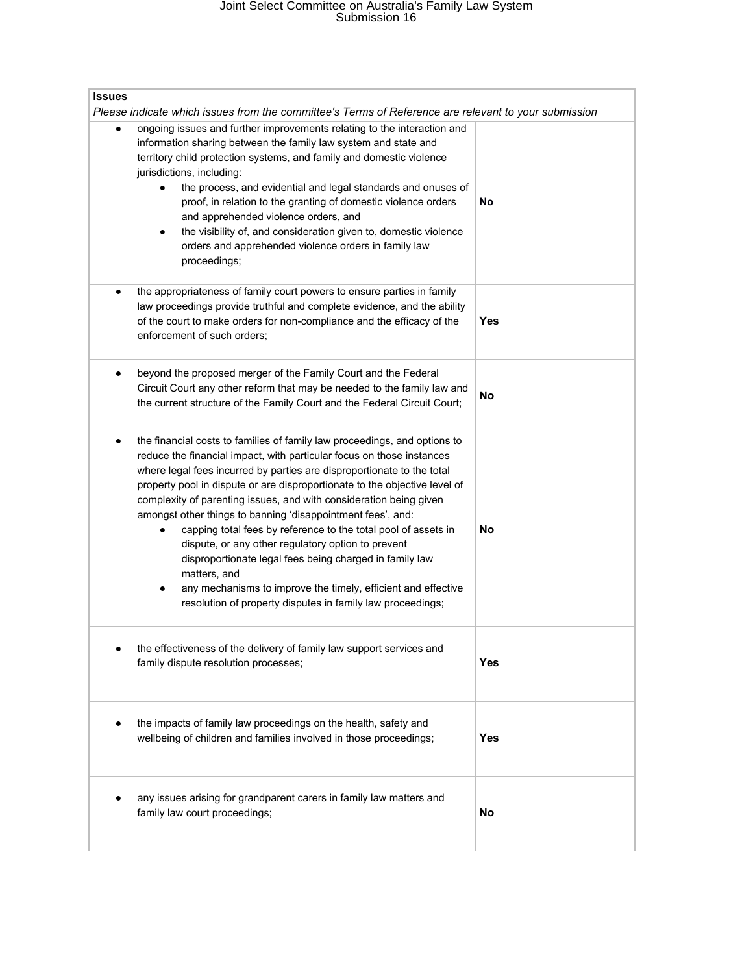## Joint Select Committee on Australia's Family Law System Submission 16

| <b>Issues</b>                                                                                                                                                                                                                                                                                                                                                                                                                                                                                                                                                                                                                                                                                                                                                                                  |            |  |
|------------------------------------------------------------------------------------------------------------------------------------------------------------------------------------------------------------------------------------------------------------------------------------------------------------------------------------------------------------------------------------------------------------------------------------------------------------------------------------------------------------------------------------------------------------------------------------------------------------------------------------------------------------------------------------------------------------------------------------------------------------------------------------------------|------------|--|
| Please indicate which issues from the committee's Terms of Reference are relevant to your submission<br>ongoing issues and further improvements relating to the interaction and<br>٠<br>information sharing between the family law system and state and<br>territory child protection systems, and family and domestic violence<br>jurisdictions, including:<br>the process, and evidential and legal standards and onuses of<br>$\bullet$<br>proof, in relation to the granting of domestic violence orders<br>and apprehended violence orders, and<br>the visibility of, and consideration given to, domestic violence<br>$\bullet$<br>orders and apprehended violence orders in family law<br>proceedings;                                                                                  | No         |  |
| the appropriateness of family court powers to ensure parties in family<br>law proceedings provide truthful and complete evidence, and the ability<br>of the court to make orders for non-compliance and the efficacy of the<br>enforcement of such orders:                                                                                                                                                                                                                                                                                                                                                                                                                                                                                                                                     | Yes        |  |
| beyond the proposed merger of the Family Court and the Federal<br>Circuit Court any other reform that may be needed to the family law and<br>the current structure of the Family Court and the Federal Circuit Court;                                                                                                                                                                                                                                                                                                                                                                                                                                                                                                                                                                          | <b>No</b>  |  |
| the financial costs to families of family law proceedings, and options to<br>$\bullet$<br>reduce the financial impact, with particular focus on those instances<br>where legal fees incurred by parties are disproportionate to the total<br>property pool in dispute or are disproportionate to the objective level of<br>complexity of parenting issues, and with consideration being given<br>amongst other things to banning 'disappointment fees', and:<br>capping total fees by reference to the total pool of assets in<br>dispute, or any other regulatory option to prevent<br>disproportionate legal fees being charged in family law<br>matters, and<br>any mechanisms to improve the timely, efficient and effective<br>resolution of property disputes in family law proceedings; | <b>No</b>  |  |
| the effectiveness of the delivery of family law support services and<br>family dispute resolution processes;                                                                                                                                                                                                                                                                                                                                                                                                                                                                                                                                                                                                                                                                                   | <b>Yes</b> |  |
| the impacts of family law proceedings on the health, safety and<br>$\bullet$<br>wellbeing of children and families involved in those proceedings;                                                                                                                                                                                                                                                                                                                                                                                                                                                                                                                                                                                                                                              | Yes        |  |
| any issues arising for grandparent carers in family law matters and<br>family law court proceedings;                                                                                                                                                                                                                                                                                                                                                                                                                                                                                                                                                                                                                                                                                           | No         |  |